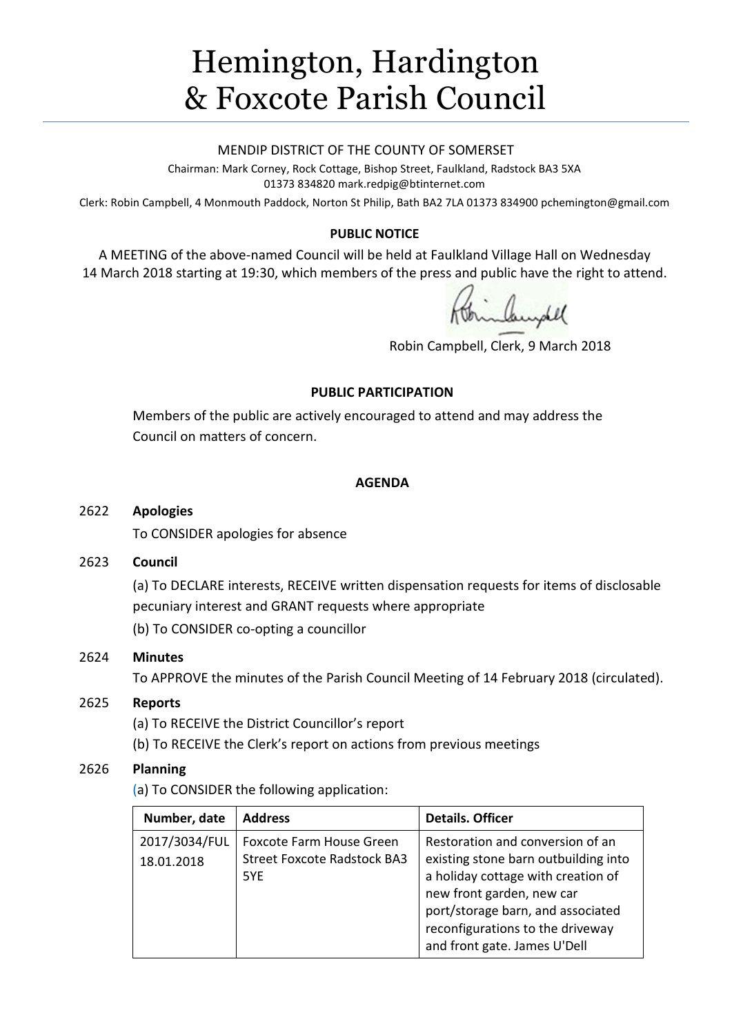# Hemington, Hardington & Foxcote Parish Council

#### MENDIP DISTRICT OF THE COUNTY OF SOMERSET

Chairman: Mark Corney, Rock Cottage, Bishop Street, Faulkland, Radstock BA3 5XA 01373 834820 mark.redpig@btinternet.com

Clerk: Robin Campbell, 4 Monmouth Paddock, Norton St Philip, Bath BA2 7LA 01373 834900 [pchemington@gmail.com](mailto:pchemington@gmail.com)

## **PUBLIC NOTICE**

A MEETING of the above-named Council will be held at Faulkland Village Hall on Wednesday 14 March 2018 starting at 19:30, which members of the press and public have the right to attend.

Robin Campbell, Clerk, 9 March 2018

#### **PUBLIC PARTICIPATION**

Members of the public are actively encouraged to attend and may address the Council on matters of concern.

#### **AGENDA**

#### 2622 **Apologies**

To CONSIDER apologies for absence

#### 2623 **Council**

(a) To DECLARE interests, RECEIVE written dispensation requests for items of disclosable pecuniary interest and GRANT requests where appropriate

(b) To CONSIDER co-opting a councillor

# 2624 **Minutes**

To APPROVE the minutes of the Parish Council Meeting of 14 February 2018 (circulated).

#### 2625 **Reports**

(a) To RECEIVE the District Councillor's report

(b) To RECEIVE the Clerk's report on actions from previous meetings

# 2626 **Planning**

(a) To CONSIDER the following application:

| Number, date                | <b>Address</b>                                                                | <b>Details. Officer</b>                                                                                                                                                                                                                              |
|-----------------------------|-------------------------------------------------------------------------------|------------------------------------------------------------------------------------------------------------------------------------------------------------------------------------------------------------------------------------------------------|
| 2017/3034/FUL<br>18.01.2018 | <b>Foxcote Farm House Green</b><br><b>Street Foxcote Radstock BA3</b><br>5YE. | Restoration and conversion of an<br>existing stone barn outbuilding into<br>a holiday cottage with creation of<br>new front garden, new car<br>port/storage barn, and associated<br>reconfigurations to the driveway<br>and front gate. James U'Dell |